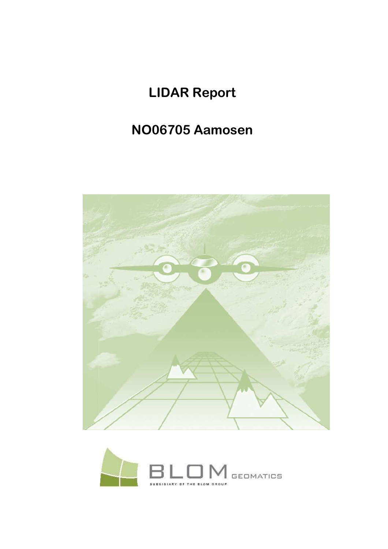# **LIDAR Report**

# NO06705 Aamosen



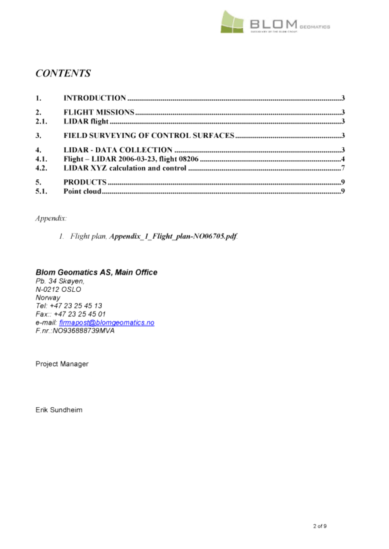

# **CONTENTS**

| 1.               |  |
|------------------|--|
| $\overline{2}$ . |  |
| 2.1.             |  |
| 3.               |  |
| 4.               |  |
| 4.1.             |  |
| 4.2.             |  |
| 5.               |  |
| 5.1.             |  |

## Appendix:

1. Flight plan, Appendix\_1\_Flight\_plan-NO06705.pdf.

## **Blom Geomatics AS, Main Office**

Pb. 34 Skøyen, N-0212 OSLO Norway Tel: +47 23 25 45 13 Fax:: +47 23 25 45 01 e-mail: firmapost@blomgeomatics.no F.nr.:NO936888739MVA

Project Manager

Erik Sundheim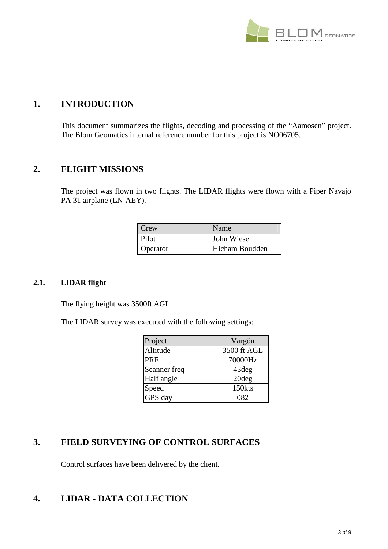

# **1. INTRODUCTION**

This document summarizes the flights, decoding and processing of the "Aamosen" project. The Blom Geomatics internal reference number for this project is NO06705.

## **2. FLIGHT MISSIONS**

The project was flown in two flights. The LIDAR flights were flown with a Piper Navajo PA 31 airplane (LN-AEY).

| Crew     | Name           |
|----------|----------------|
| Pilot    | John Wiese     |
| Operator | Hicham Boudden |

#### **2.1. LIDAR flight**

The flying height was 3500ft AGL.

The LIDAR survey was executed with the following settings:

| Project      | Vargön      |
|--------------|-------------|
| Altitude     | 3500 ft AGL |
| PRF          | 70000Hz     |
| Scanner freq | 43deg       |
| Half angle   | 20deg       |
| Speed        | 150kts      |
| GPS day      | 082         |

# **3. FIELD SURVEYING OF CONTROL SURFACES**

Control surfaces have been delivered by the client.

# **4. LIDAR - DATA COLLECTION**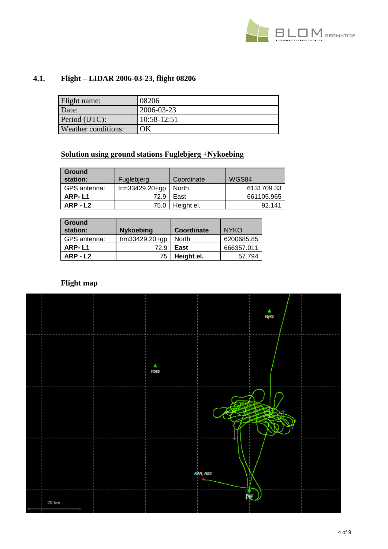

# **4.1. Flight – LIDAR 2006-03-23, flight 08206**

| Flight name:        | 08206       |
|---------------------|-------------|
| Date:               | 2006-03-23  |
| Period (UTC):       | 10:58-12:51 |
| Weather conditions: | ΟK          |

# **Solution using ground stations Fuglebjerg +Nykoebing**

| <b>Ground</b><br>station: | Fuglebierg       | Coordinate | WGS84      |
|---------------------------|------------------|------------|------------|
| GPS antenna:              | $trm33429.20+qp$ | North      | 6131709.33 |
| ARP-L1                    | 72.9             | East       | 661105.965 |
| ARP-L2                    | 75.0             | Height el. | 92.141     |

| <b>Ground</b><br>station: | <b>Nykoebing</b> | Coordinate | <b>NYKO</b> |
|---------------------------|------------------|------------|-------------|
| GPS antenna:              | trm33429.20+gp   | North      | 6200685.85  |
| ARP-L1                    | 72.9             | East       | 666357.011  |
| $ARP - L2$                | 75               | Height el. | 57.794      |

# **Flight map**

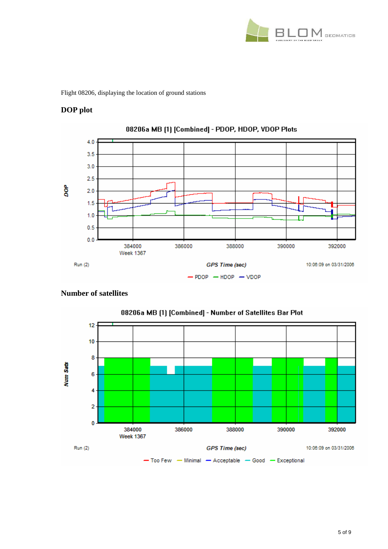

Flight 08206, displaying the location of ground stations

## **DOP plot**



### **Number of satellites**

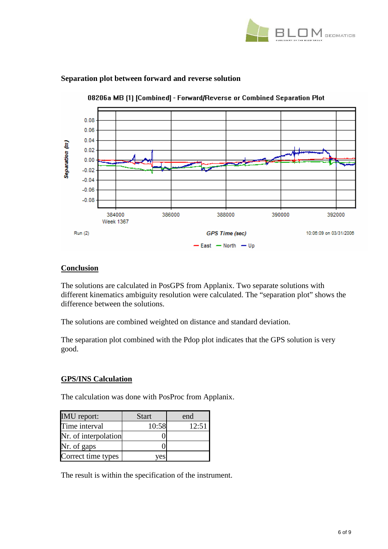



#### **Separation plot between forward and reverse solution**

#### **Conclusion**

The solutions are calculated in PosGPS from Applanix. Two separate solutions with different kinematics ambiguity resolution were calculated. The "separation plot" shows the difference between the solutions.

The solutions are combined weighted on distance and standard deviation.

The separation plot combined with the Pdop plot indicates that the GPS solution is very good.

#### **GPS/INS Calculation**

The calculation was done with PosProc from Applanix.

| <b>IMU</b> report:   | <b>Start</b> | end   |
|----------------------|--------------|-------|
| Time interval        | 10:58        | 12:51 |
| Nr. of interpolation |              |       |
| Nr. of gaps          |              |       |
| Correct time types   | ves          |       |

The result is within the specification of the instrument.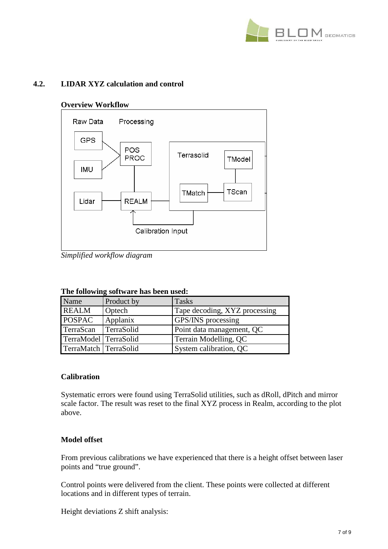

### **4.2. LIDAR XYZ calculation and control**

#### **Overview Workflow**



*Simplified workflow diagram* 

#### **The following software has been used:**

| $22.22$ $20.220$ $11.222$ $30.024$ $11.442$ $42.440$ $40.442$ $40.044$ |            |                               |  |
|------------------------------------------------------------------------|------------|-------------------------------|--|
| Name                                                                   | Product by | <b>Tasks</b>                  |  |
| <b>REALM</b>                                                           | Optech     | Tape decoding, XYZ processing |  |
| <b>POSPAC</b>                                                          | Applanix   | <b>GPS/INS</b> processing     |  |
| TerraScan                                                              | TerraSolid | Point data management, QC     |  |
| TerraModel TerraSolid                                                  |            | Terrain Modelling, QC         |  |
| TerraMatch TerraSolid                                                  |            | System calibration, QC        |  |

#### **Calibration**

Systematic errors were found using TerraSolid utilities, such as dRoll, dPitch and mirror scale factor. The result was reset to the final XYZ process in Realm, according to the plot above.

#### **Model offset**

From previous calibrations we have experienced that there is a height offset between laser points and "true ground".

Control points were delivered from the client. These points were collected at different locations and in different types of terrain.

Height deviations Z shift analysis: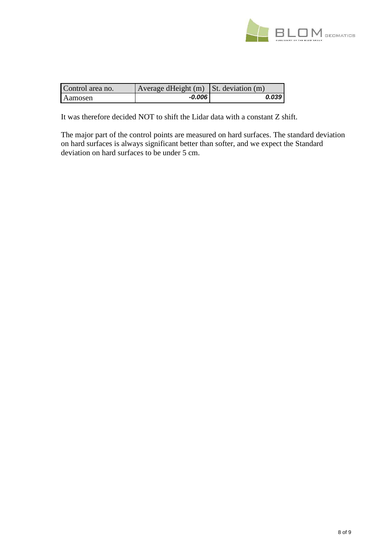

| Control area no. | $\vert$ Average dHeight (m) St. deviation (m) |       |
|------------------|-----------------------------------------------|-------|
| <b>Aamosen</b>   | -0.006                                        | 0.039 |

It was therefore decided NOT to shift the Lidar data with a constant Z shift.

The major part of the control points are measured on hard surfaces. The standard deviation on hard surfaces is always significant better than softer, and we expect the Standard deviation on hard surfaces to be under 5 cm.